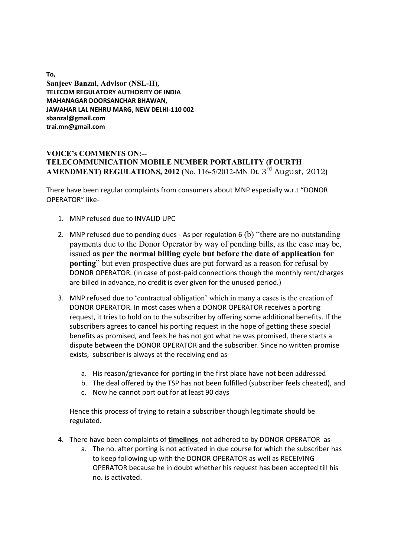**To, Sanjeev Banzal, Advisor (NSL-II), TELECOM REGULATORY AUTHORITY OF INDIA MAHANAGAR DOORSANCHAR BHAWAN, JAWAHAR LAL NEHRU MARG, NEW DELHI-110 002 sbanzal@gmail.com trai.mn@gmail.com**

## **VOICE's COMMENTS ON:-- TELECOMMUNICATION MOBILE NUMBER PORTABILITY (FOURTH AMENDMENT) REGULATIONS, 2012** (No. 116-5/2012-MN Dt. 3<sup>rd</sup> August, 2012)

There have been regular complaints from consumers about MNP especially w.r.t "DONOR OPERATOR" like-

- 1. MNP refused due to INVALID UPC
- 2. MNP refused due to pending dues As per regulation 6 (b) "there are no outstanding payments due to the Donor Operator by way of pending bills, as the case may be, issued **as per the normal billing cycle but before the date of application for porting**" but even prospective dues are put forward as a reason for refusal by DONOR OPERATOR. (In case of post-paid connections though the monthly rent/charges are billed in advance, no credit is ever given for the unused period.)
- 3. MNP refused due to 'contractual obligation' which in many a cases is the creation of DONOR OPERATOR. In most cases when a DONOR OPERATOR receives a porting request, it tries to hold on to the subscriber by offering some additional benefits. If the subscribers agrees to cancel his porting request in the hope of getting these special benefits as promised, and feels he has not got what he was promised, there starts a dispute between the DONOR OPERATOR and the subscriber. Since no written promise exists, subscriber is always at the receiving end as
	- a. His reason/grievance for porting in the first place have not been addressed
	- b. The deal offered by the TSP has not been fulfilled (subscriber feels cheated), and
	- c. Now he cannot port out for at least 90 days

Hence this process of trying to retain a subscriber though legitimate should be regulated.

- 4. There have been complaints of **timelines** not adhered to by DONOR OPERATOR as
	- a. The no. after porting is not activated in due course for which the subscriber has to keep following up with the DONOR OPERATOR as well as RECEIVING OPERATOR because he in doubt whether his request has been accepted till his no. is activated.